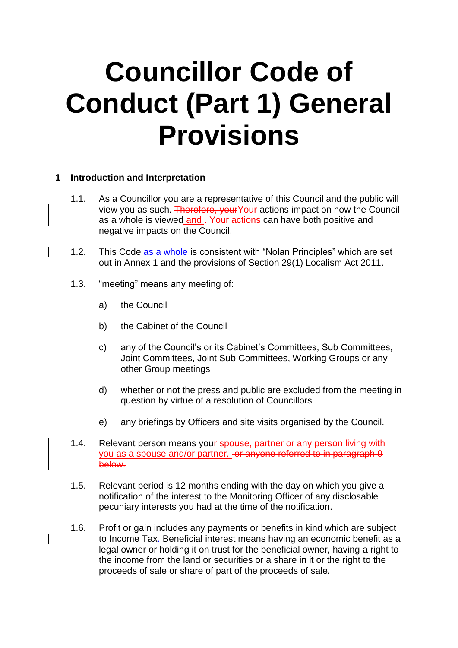## **Councillor Code of Conduct (Part 1) General Provisions**

### **1 Introduction and Interpretation**

- 1.1. As a Councillor you are a representative of this Council and the public will view you as such. Therefore, yourYour actions impact on how the Council as a whole is viewed and . Your actions can have both positive and negative impacts on the Council.
- 1.2. This Code as a whole is consistent with "Nolan Principles" which are set out in Annex 1 and the provisions of Section 29(1) Localism Act 2011.
- 1.3. "meeting" means any meeting of:
	- a) the Council
	- b) the Cabinet of the Council
	- c) any of the Council's or its Cabinet's Committees, Sub Committees, Joint Committees, Joint Sub Committees, Working Groups or any other Group meetings
	- d) whether or not the press and public are excluded from the meeting in question by virtue of a resolution of Councillors
	- e) any briefings by Officers and site visits organised by the Council.
- 1.4. Relevant person means your spouse, partner or any person living with you as a spouse and/or partner. - or anyone referred to in paragraph 9 below.
- 1.5. Relevant period is 12 months ending with the day on which you give a notification of the interest to the Monitoring Officer of any disclosable pecuniary interests you had at the time of the notification.
- 1.6. Profit or gain includes any payments or benefits in kind which are subject to Income Tax. Beneficial interest means having an economic benefit as a legal owner or holding it on trust for the beneficial owner, having a right to the income from the land or securities or a share in it or the right to the proceeds of sale or share of part of the proceeds of sale.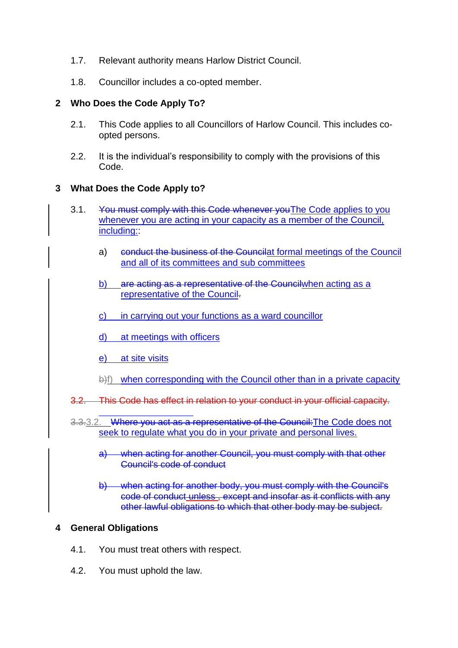- 1.7. Relevant authority means Harlow District Council.
- 1.8. Councillor includes a co-opted member.

### **2 Who Does the Code Apply To?**

- 2.1. This Code applies to all Councillors of Harlow Council. This includes coopted persons.
- 2.2. It is the individual's responsibility to comply with the provisions of this Code.

### **3 What Does the Code Apply to?**

- 3.1. You must comply with this Code whenever you The Code applies to you whenever you are acting in your capacity as a member of the Council, including::
	- a) conduct the business of the Councilat formal meetings of the Council and all of its committees and sub committees
	- b) are acting as a representative of the Council when acting as a representative of the Council.
	- c) in carrying out your functions as a ward councillor
	- d) at meetings with officers
	- e) at site visits
	- $\Theta$ ) when corresponding with the Council other than in a private capacity
- 3.2. This Code has effect in relation to your conduct in your official capacity.
- 3.3.3.2. Where you act as a representative of the Council: The Code does not seek to regulate what you do in your private and personal lives.
	- a) when acting for another Council, you must comply with that other Council's code of conduct
	- b) when acting for another body, you must comply with the Council's code of conduct unless , except and insofar as it conflicts with any other lawful obligations to which that other body may be subject.

## **4 General Obligations**

- 4.1. You must treat others with respect.
- 4.2. You must uphold the law.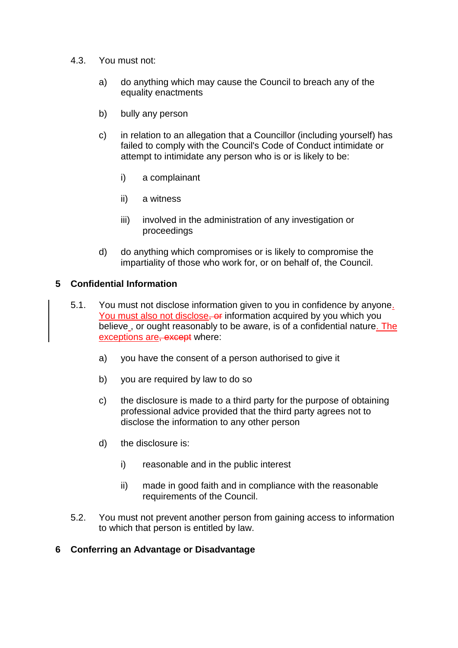- 4.3. You must not:
	- a) do anything which may cause the Council to breach any of the equality enactments
	- b) bully any person
	- c) in relation to an allegation that a Councillor (including yourself) has failed to comply with the Council's Code of Conduct intimidate or attempt to intimidate any person who is or is likely to be:
		- i) a complainant
		- ii) a witness
		- iii) involved in the administration of any investigation or proceedings
	- d) do anything which compromises or is likely to compromise the impartiality of those who work for, or on behalf of, the Council.

### **5 Confidential Information**

- 5.1. You must not disclose information given to you in confidence by anyone. You must also not disclose, or information acquired by you which you believe , or ought reasonably to be aware, is of a confidential nature. The exceptions are, except where:
	- a) you have the consent of a person authorised to give it
	- b) you are required by law to do so
	- c) the disclosure is made to a third party for the purpose of obtaining professional advice provided that the third party agrees not to disclose the information to any other person
	- d) the disclosure is:
		- i) reasonable and in the public interest
		- ii) made in good faith and in compliance with the reasonable requirements of the Council.
- 5.2. You must not prevent another person from gaining access to information to which that person is entitled by law.

### **6 Conferring an Advantage or Disadvantage**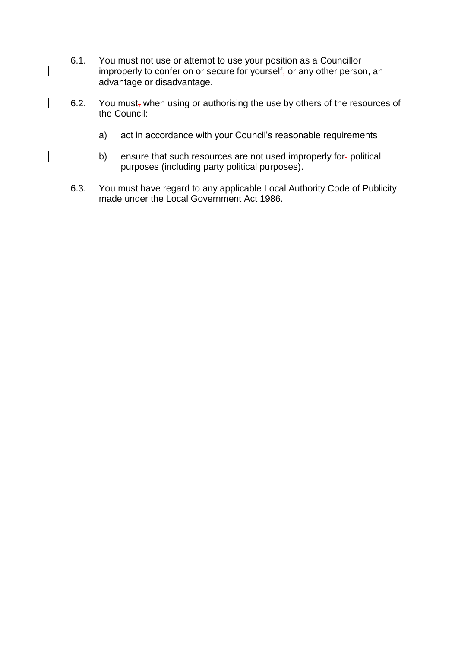- 6.1. You must not use or attempt to use your position as a Councillor improperly to confer on or secure for yourself, or any other person, an advantage or disadvantage.
- 6.2. You must, when using or authorising the use by others of the resources of the Council:
	- a) act in accordance with your Council's reasonable requirements
	- b) ensure that such resources are not used improperly for-political purposes (including party political purposes).
- 6.3. You must have regard to any applicable Local Authority Code of Publicity made under the Local Government Act 1986.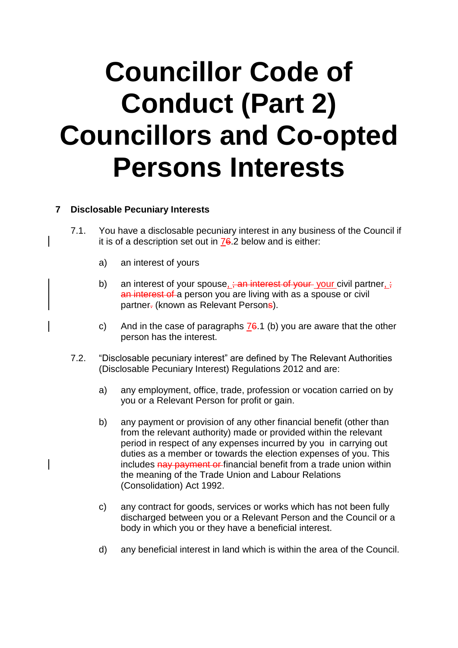# **Councillor Code of Conduct (Part 2) Councillors and Co-opted Persons Interests**

### **7 Disclosable Pecuniary Interests**

- 7.1. You have a disclosable pecuniary interest in any business of the Council if it is of a description set out in  $76.2$  below and is either:
	- a) an interest of yours
	- b) an interest of your spouse,  $\frac{1}{2}$  an interest of your your civil partner,  $\frac{1}{2}$ an interest of a person you are living with as a spouse or civil partner. (known as Relevant Persons).
	- c) And in the case of paragraphs  $76.1$  (b) you are aware that the other person has the interest.
- 7.2. "Disclosable pecuniary interest" are defined by The Relevant Authorities (Disclosable Pecuniary Interest) Regulations 2012 and are:
	- a) any employment, office, trade, profession or vocation carried on by you or a Relevant Person for profit or gain.
	- b) any payment or provision of any other financial benefit (other than from the relevant authority) made or provided within the relevant period in respect of any expenses incurred by you in carrying out duties as a member or towards the election expenses of you. This includes nay payment or financial benefit from a trade union within the meaning of the Trade Union and Labour Relations (Consolidation) Act 1992.
	- c) any contract for goods, services or works which has not been fully discharged between you or a Relevant Person and the Council or a body in which you or they have a beneficial interest.
	- d) any beneficial interest in land which is within the area of the Council.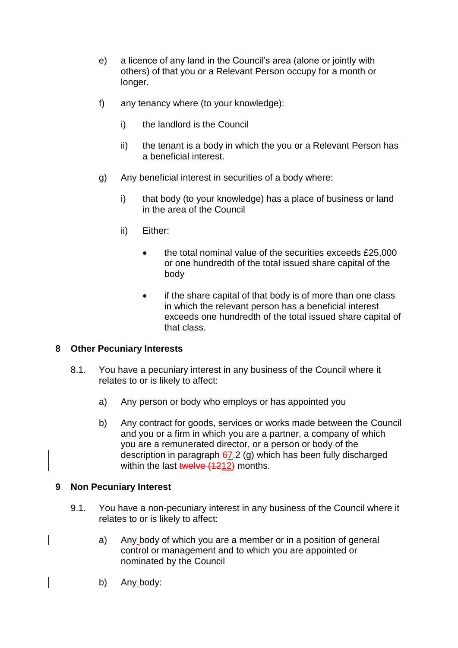- e) a licence of any land in the Council's area (alone or jointly with others) of that you or a Relevant Person occupy for a month or longer.
- f) any tenancy where (to your knowledge):
	- i) the landlord is the Council
	- ii) the tenant is a body in which the you or a Relevant Person has a beneficial interest.
- g) Any beneficial interest in securities of a body where:
	- i) that body (to your knowledge) has a place of business or land in the area of the Council
	- ii) Either:
		- the total nominal value of the securities exceeds £25,000 or one hundredth of the total issued share capital of the body
		- if the share capital of that body is of more than one class in which the relevant person has a beneficial interest exceeds one hundredth of the total issued share capital of that class.

### **8 Other Pecuniary Interests**

- 8.1. You have a pecuniary interest in any business of the Council where it relates to or is likely to affect:
	- a) Any person or body who employs or has appointed you
	- b) Any contract for goods, services or works made between the Council and you or a firm in which you are a partner, a company of which you are a remunerated director, or a person or body of the description in paragraph 67.2 (g) which has been fully discharged within the last twelve (1212) months.

### **9 Non Pecuniary Interest**

- 9.1. You have a non-pecuniary interest in any business of the Council where it relates to or is likely to affect:
	- a) Any body of which you are a member or in a position of general control or management and to which you are appointed or nominated by the Council
	- b) Any body: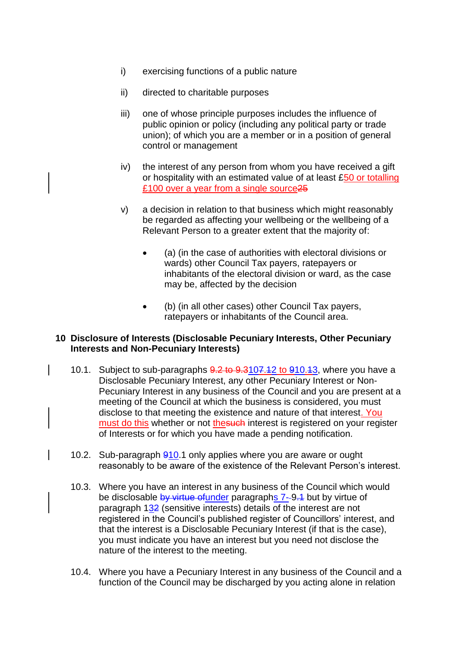- i) exercising functions of a public nature
- ii) directed to charitable purposes
- iii) one of whose principle purposes includes the influence of public opinion or policy (including any political party or trade union); of which you are a member or in a position of general control or management
- iv) the interest of any person from whom you have received a gift or hospitality with an estimated value of at least £50 or totalling £100 over a year from a single source25
- v) a decision in relation to that business which might reasonably be regarded as affecting your wellbeing or the wellbeing of a Relevant Person to a greater extent that the majority of:
	- (a) (in the case of authorities with electoral divisions or wards) other Council Tax payers, ratepayers or inhabitants of the electoral division or ward, as the case may be, affected by the decision
	- (b) (in all other cases) other Council Tax payers, ratepayers or inhabitants of the Council area.

#### **10 Disclosure of Interests (Disclosable Pecuniary Interests, Other Pecuniary Interests and Non-Pecuniary Interests)**

- 10.1. Subject to sub-paragraphs 9.2 to 9.3107.42 to 910.43, where you have a Disclosable Pecuniary Interest, any other Pecuniary Interest or Non-Pecuniary Interest in any business of the Council and you are present at a meeting of the Council at which the business is considered, you must disclose to that meeting the existence and nature of that interest. You must do this whether or not thesuch interest is registered on your register of Interests or for which you have made a pending notification.
- 10.2. Sub-paragraph 910.1 only applies where you are aware or ought reasonably to be aware of the existence of the Relevant Person's interest.
- 10.3. Where you have an interest in any business of the Council which would be disclosable by virtue of under paragraphs 7-9.4 but by virtue of paragraph 132 (sensitive interests) details of the interest are not registered in the Council's published register of Councillors' interest, and that the interest is a Disclosable Pecuniary Interest (if that is the case), you must indicate you have an interest but you need not disclose the nature of the interest to the meeting.
- 10.4. Where you have a Pecuniary Interest in any business of the Council and a function of the Council may be discharged by you acting alone in relation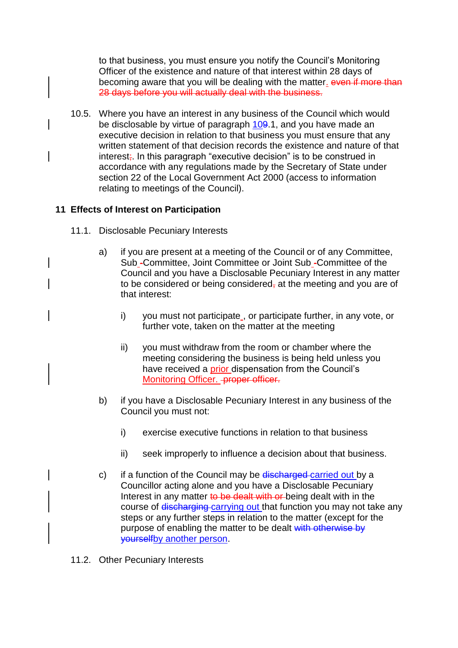to that business, you must ensure you notify the Council's Monitoring Officer of the existence and nature of that interest within 28 days of becoming aware that you will be dealing with the matter. even if more than 28 days before you will actually deal with the business.

10.5. Where you have an interest in any business of the Council which would be disclosable by virtue of paragraph 109.1, and you have made an executive decision in relation to that business you must ensure that any written statement of that decision records the existence and nature of that interest;. In this paragraph "executive decision" is to be construed in accordance with any regulations made by the Secretary of State under section 22 of the Local Government Act 2000 (access to information relating to meetings of the Council).

## **11 Effects of Interest on Participation**

- 11.1. Disclosable Pecuniary Interests
	- a) if you are present at a meeting of the Council or of any Committee, Sub -Committee, Joint Committee or Joint Sub -Committee of the Council and you have a Disclosable Pecuniary Interest in any matter to be considered or being considered, at the meeting and you are of that interest:
		- i) you must not participate , or participate further, in any vote, or further vote, taken on the matter at the meeting
		- ii) you must withdraw from the room or chamber where the meeting considering the business is being held unless you have received a prior dispensation from the Council's Monitoring Officer. **proper officer.**
	- b) if you have a Disclosable Pecuniary Interest in any business of the Council you must not:
		- i) exercise executive functions in relation to that business
		- ii) seek improperly to influence a decision about that business.
	- c) if a function of the Council may be discharged carried out by a Councillor acting alone and you have a Disclosable Pecuniary Interest in any matter to be dealt with or being dealt with in the course of discharging carrying out that function you may not take any steps or any further steps in relation to the matter (except for the purpose of enabling the matter to be dealt with otherwise by yourselfby another person.
- 11.2. Other Pecuniary Interests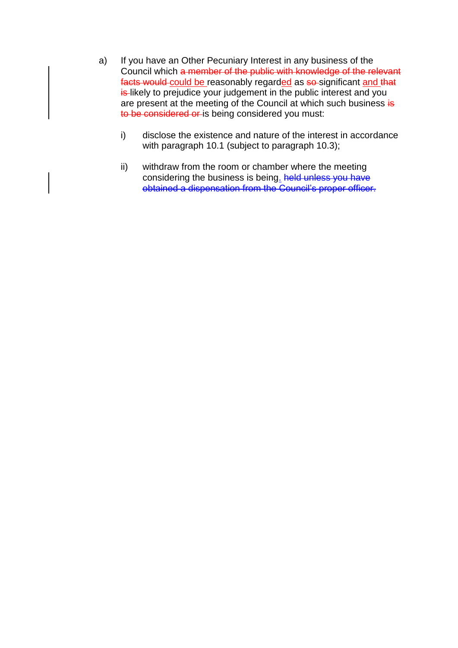- a) If you have an Other Pecuniary Interest in any business of the Council which a member of the public with knowledge of the relevant facts would could be reasonably regarded as so-significant and that  $\overline{16}$ -likely to prejudice your judgement in the public interest and you are present at the meeting of the Council at which such business is to be considered or is being considered you must:
	- i) disclose the existence and nature of the interest in accordance with paragraph 10.1 (subject to paragraph 10.3);
	- ii) withdraw from the room or chamber where the meeting considering the business is being. held unless you have obtained a dispensation from the Council's proper officer.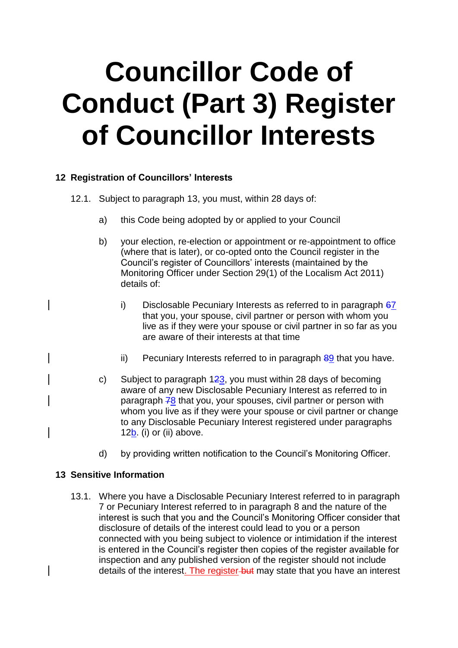# **Councillor Code of Conduct (Part 3) Register of Councillor Interests**

## **12 Registration of Councillors' Interests**

- 12.1. Subject to paragraph 13, you must, within 28 days of:
	- a) this Code being adopted by or applied to your Council
	- b) your election, re-election or appointment or re-appointment to office (where that is later), or co-opted onto the Council register in the Council's register of Councillors' interests (maintained by the Monitoring Officer under Section 29(1) of the Localism Act 2011) details of:
		- i) Disclosable Pecuniary Interests as referred to in paragraph 67 that you, your spouse, civil partner or person with whom you live as if they were your spouse or civil partner in so far as you are aware of their interests at that time
		- ii) Pecuniary Interests referred to in paragraph 89 that you have.
	- c) Subject to paragraph  $123$ , you must within 28 days of becoming aware of any new Disclosable Pecuniary Interest as referred to in paragraph  $\frac{78}{10}$  that you, your spouses, civil partner or person with whom you live as if they were your spouse or civil partner or change to any Disclosable Pecuniary Interest registered under paragraphs 12 $b$ . (i) or (ii) above.
	- d) by providing written notification to the Council's Monitoring Officer.

## **13 Sensitive Information**

13.1. Where you have a Disclosable Pecuniary Interest referred to in paragraph 7 or Pecuniary Interest referred to in paragraph 8 and the nature of the interest is such that you and the Council's Monitoring Officer consider that disclosure of details of the interest could lead to you or a person connected with you being subject to violence or intimidation if the interest is entered in the Council's register then copies of the register available for inspection and any published version of the register should not include details of the interest. The register-but may state that you have an interest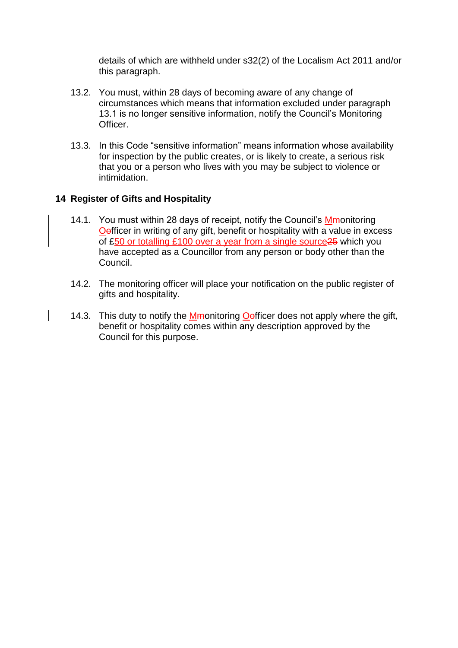details of which are withheld under s32(2) of the Localism Act 2011 and/or this paragraph.

- 13.2. You must, within 28 days of becoming aware of any change of circumstances which means that information excluded under paragraph 13.1 is no longer sensitive information, notify the Council's Monitoring Officer.
- 13.3. In this Code "sensitive information" means information whose availability for inspection by the public creates, or is likely to create, a serious risk that you or a person who lives with you may be subject to violence or intimidation.

### **14 Register of Gifts and Hospitality**

 $\overline{\phantom{a}}$ 

- 14.1. You must within 28 days of receipt, notify the Council's Mmonitoring Oefficer in writing of any gift, benefit or hospitality with a value in excess of £50 or totalling £100 over a year from a single source25 which you have accepted as a Councillor from any person or body other than the Council.
- 14.2. The monitoring officer will place your notification on the public register of gifts and hospitality.
- 14.3. This duty to notify the Mmonitoring Oefficer does not apply where the gift, benefit or hospitality comes within any description approved by the Council for this purpose.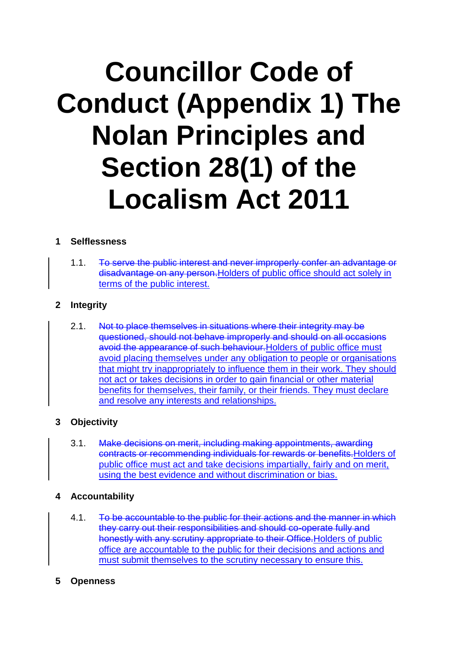# **Councillor Code of Conduct (Appendix 1) The Nolan Principles and Section 28(1) of the Localism Act 2011**

## **1 Selflessness**

1.1. To serve the public interest and never improperly confer an advantage or disadvantage on any person.Holders of public office should act solely in terms of the public interest.

## **2 Integrity**

2.1. Not to place themselves in situations where their integrity may be questioned, should not behave improperly and should on all occasions avoid the appearance of such behaviour. Holders of public office must avoid placing themselves under any obligation to people or organisations that might try inappropriately to influence them in their work. They should not act or takes decisions in order to gain financial or other material benefits for themselves, their family, or their friends. They must declare and resolve any interests and relationships.

## **3 Objectivity**

3.1. Make decisions on merit, including making appointments, awarding contracts or recommending individuals for rewards or benefits.Holders of public office must act and take decisions impartially, fairly and on merit, using the best evidence and without discrimination or bias.

## **4 Accountability**

- 4.1. To be accountable to the public for their actions and the manner in which they carry out their responsibilities and should co-operate fully and honestly with any scrutiny appropriate to their Office.Holders of public office are accountable to the public for their decisions and actions and must submit themselves to the scrutiny necessary to ensure this.
- **5 Openness**